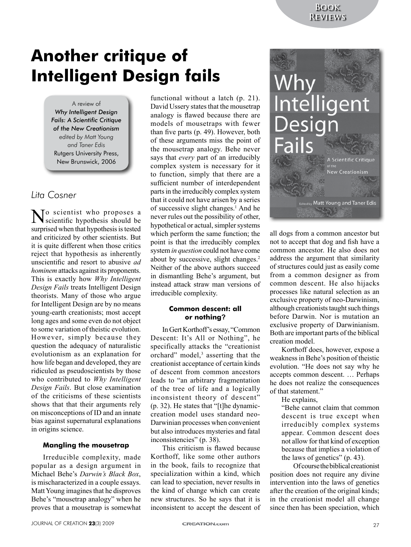# **Another critique of Intelligent Design fails**

A review of *Why Intelligent Design Fails: A Scientific Critique of the New Creationism edited by Matt Young and Taner Edis* Rutgers University Press, New Brunswick, 2006

# *Lita Cosner*

No scientist who proposes a scientific hypothesis should be surprised when that hypothesis is tested and criticized by other scientists. But it is quite different when those critics reject that hypothesis as inherently unscientific and resort to abusive *ad hominem* attacks against its proponents. This is exactly how *Why Intelligent Design Fails* treats Intelligent Design theorists. Many of those who argue for Intelligent Design are by no means young-earth creationists; most accept long ages and some even do not object to some variation of theistic evolution. However, simply because they question the adequacy of naturalistic evolutionism as an explanation for how life began and developed, they are ridiculed as pseudoscientists by those who contributed to *Why Intelligent Design Fails*. But close examination of the criticisms of these scientists shows that that their arguments rely on misconceptions of ID and an innate bias against supernatural explanations in origins science.

# **Mangling the mousetrap**

Irreducible complexity, made popular as a design argument in Michael Behe's *Darwin's Black Box*, is mischaracterized in a couple essays. Matt Young imagines that he disproves Behe's "mousetrap analogy" when he proves that a mousetrap is somewhat

functional without a latch (p. 21). David Ussery states that the mousetrap analogy is flawed because there are models of mousetraps with fewer than five parts (p. 49). However, both of these arguments miss the point of the mousetrap analogy. Behe never says that *every* part of an irreducibly complex system is necessary for it to function, simply that there are a sufficient number of interdependent parts in the irreducibly complex system that it could not have arisen by a series of successive slight changes.<sup>1</sup> And he never rules out the possibility of other, hypothetical or actual, simpler systems which perform the same function; the point is that the irreducibly complex system *in question* could not have come about by successive, slight changes.<sup>2</sup> Neither of the above authors succeed in dismantling Behe's argument, but instead attack straw man versions of irreducible complexity.

# **Common descent: all or nothing?**

In Gert Korthoff's essay, "Common Descent: It's All or Nothing", he specifically attacks the "creationist orchard" model, $3$  asserting that the creationist acceptance of certain kinds of descent from common ancestors leads to "an arbitrary fragmentation of the tree of life and a logically inconsistent theory of descent" (p. 32). He states that "[t]he dynamiccreation model uses standard neo-Darwinian processes when convenient but also introduces mysteries and fatal inconsistencies" (p. 38).

This criticism is flawed because Korthoff, like some other authors in the book, fails to recognize that specialization within a kind, which can lead to speciation, never results in the kind of change which can create new structures. So he says that it is inconsistent to accept the descent of



all dogs from a common ancestor but not to accept that dog and fish have a common ancestor. He also does not address the argument that similarity of structures could just as easily come from a common designer as from common descent. He also hijacks processes like natural selection as an exclusive property of neo-Darwinism, although creationists taught such things before Darwin. Nor is mutation an exclusive property of Darwinianism. Both are important parts of the biblical creation model.

Korthoff does, however, expose a weakness in Behe's position of theistic evolution. "He does not say why he accepts common descent. … Perhaps he does not realize the consequences of that statement."

He explains,

"Behe cannot claim that common descent is true except when irreducibly complex systems appear. Common descent does not allow for that kind of exception because that implies a violation of the laws of genetics" (p. 43).

Of course the biblical creationist position does not require any divine intervention into the laws of genetics after the creation of the original kinds; in the creationist model all change since then has been speciation, which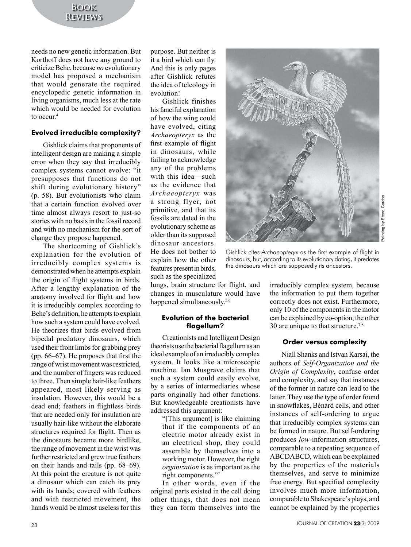needs no new genetic information. But Korthoff does not have any ground to criticize Behe, because *no* evolutionary model has proposed a mechanism that would generate the required encyclopedic genetic information in living organisms, much less at the rate which would be needed for evolution to occur.<sup>4</sup>

## **Evolved irreducible complexity?**

Gishlick claims that proponents of intelligent design are making a simple error when they say that irreducibly complex systems cannot evolve: "it presupposes that functions do not shift during evolutionary history" (p. 58). But evolutionists who claim that a certain function evolved over time almost always resort to just-so stories with no basis in the fossil record and with no mechanism for the sort of change they propose happened.

The shortcoming of Gishlick's explanation for the evolution of irreducibly complex systems is demonstrated when he attempts explain the origin of flight systems in birds. After a lengthy explanation of the anatomy involved for flight and how it is irreducibly complex according to Behe's definition, he attempts to explain how such a system could have evolved. He theorizes that birds evolved from bipedal predatory dinosaurs, which used their front limbs for grabbing prey (pp. 66–67). He proposes that first the range of wrist movement was restricted, and the number of fingers was reduced to three. Then simple hair-like feathers appeared, most likely serving as insulation. However, this would be a dead end; feathers in flightless birds that are needed only for insulation are usually hair-like without the elaborate structures required for flight. Then as the dinosaurs became more birdlike, the range of movement in the wrist was further restricted and grew true feathers on their hands and tails (pp. 68–69). At this point the creature is not quite a dinosaur which can catch its prey with its hands; covered with feathers and with restricted movement, the hands would be almost useless for this

purpose. But neither is it a bird which can fly. And this is only pages after Gishlick refutes the idea of teleology in evolution!

Gishlick finishes his fanciful explanation of how the wing could have evolved, citing *Archaeopteryx* as the first example of flight in dinosaurs, while failing to acknowledge any of the problems with this idea—such as the evidence that *Archaeopteryx* was a strong flyer, not primitive, and that its fossils are dated in the evolutionary scheme as older than its supposed dinosaur ancestors. He does not bother to explain how the other features present in birds, such as the specialized

lungs, brain structure for flight, and changes in musculature would have happened simultaneously.<sup>5,6</sup>

#### **Evolution of the bacterial flagellum?**

Creationists and Intelligent Design theorists use the bacterial flagellum as an ideal example of an irreducibly complex system. It looks like a microscopic machine. Ian Musgrave claims that such a system could easily evolve, by a series of intermediaries whose parts originally had other functions. But knowledgeable creationists have addressed this argument:

"[This argument] is like claiming that if the components of an electric motor already exist in an electrical shop, they could assemble by themselves into a working motor. However, the right *organization* is as important as the right components."<sup>7</sup>

In other words, even if the original parts existed in the cell doing other things, that does not mean they can form themselves into the

Steve Cardno Painting by Steve Cardnovd gnitnin<sup>sc</sup> Gishlick cites *Archaeopteryx* as the first example of flight in

dinosaurs, but, according to its evolutionary dating, it predates the dinosaurs which are supposedly its ancestors.

irreducibly complex system, because the information to put them together correctly does not exist. Furthermore, only 10 of the components in the motor can be explained by co-option, the other 30 are unique to that structure.7,8

# **Order versus complexity**

Niall Shanks and Istvan Karsai, the authors of *Self-Organization and the Origin of Complexity*, confuse order and complexity, and say that instances of the former in nature can lead to the latter. They use the type of order found in snowflakes, Bénard cells, and other instances of self-ordering to argue that irreducibly complex systems can be formed in nature. But self-ordering produces *low*-information structures, comparable to a repeating sequence of ABCDABCD, which can be explained by the properties of the materials themselves, and serve to minimize free energy. But specified complexity involves much more information, comparable to Shakespeare's plays, and cannot be explained by the properties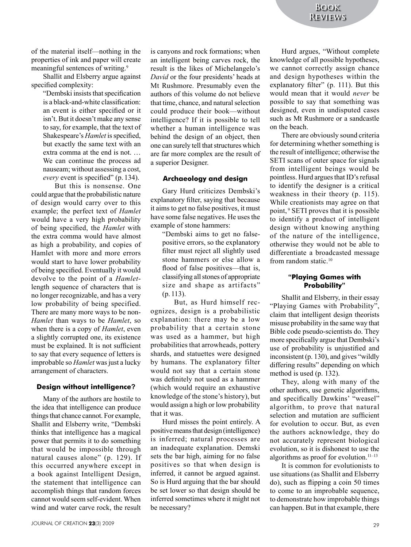of the material itself—nothing in the properties of ink and paper will create meaningful sentences of writing.<sup>9</sup>

Shallit and Elsberry argue against specified complexity:

"Dembski insists that specification is a black-and-white classification: an event is either specified or it isn't. But it doesn't make any sense to say, for example, that the text of Shakespeare's *Hamlet* is specified, but exactly the same text with an extra comma at the end is not. … We can continue the process ad nauseam; without assessing a cost, *every* event is specified" (p. 134).

But this is nonsense. One could argue that the probabilistic nature of design would carry over to this example; the perfect text of *Hamlet* would have a very high probability of being specified, the *Hamlet* with the extra comma would have almost as high a probability, and copies of Hamlet with more and more errors would start to have lower probability of being specified. Eventually it would devolve to the point of a *Hamlet*length sequence of characters that is no longer recognizable, and has a very low probability of being specified. There are many more ways to be non-*Hamlet* than ways to be *Hamlet*, so when there is a copy of *Hamlet*, even a slightly corrupted one, its existence must be explained. It is not sufficient to say that every sequence of letters is improbable so *Hamlet* was just a lucky arrangement of characters.

#### **Design without intelligence?**

Many of the authors are hostile to the idea that intelligence can produce things that chance cannot. For example, Shallit and Elsberry write, "Dembski thinks that intelligence has a magical power that permits it to do something that would be impossible through natural causes alone" (p. 129). If this occurred anywhere except in a book against Intelligent Design, the statement that intelligence can accomplish things that random forces cannot would seem self-evident. When wind and water carve rock, the result

is canyons and rock formations; when an intelligent being carves rock, the result is the likes of Michelangelo's *David* or the four presidents' heads at Mt Rushmore. Presumably even the authors of this volume do not believe that time, chance, and natural selection could produce their book—without intelligence? If it is possible to tell whether a human intelligence was behind the design of an object, then one can surely tell that structures which are far more complex are the result of a superior Designer.

#### **Archaeology and design**

Gary Hurd criticizes Dembski's explanatory filter, saying that because it aims to get no false positives, it must have some false negatives. He uses the example of stone hammers:

"Dembski aims to get no falsepositive errors, so the explanatory filter must reject all slightly used stone hammers or else allow a flood of false positives—that is, classifying all stones of appropriate size and shape as artifacts" (p. 113).

But, as Hurd himself recognizes, design is a probabilistic explanation: there may be a low probability that a certain stone was used as a hammer, but high probabilities that arrowheads, pottery shards, and statuettes were designed by humans. The explanatory filter would not say that a certain stone was definitely not used as a hammer (which would require an exhaustive knowledge of the stone's history), but would assign a high or low probability that it was.

Hurd misses the point entirely. A positive means that design (intelligence) is inferred; natural processes are an inadequate explanation. Demski sets the bar high, aiming for no false positives so that when design is inferred, it cannot be argued against. So is Hurd arguing that the bar should be set lower so that design should be inferred sometimes where it might not be necessary?

Hurd argues, "Without complete knowledge of all possible hypotheses, we cannot correctly assign chance and design hypotheses within the explanatory filter" (p. 111). But this would mean that it would *never* be possible to say that something was designed, even in undisputed cases such as Mt Rushmore or a sandcastle on the beach.

There are obviously sound criteria for determining whether something is the result of intelligence; otherwise the SETI scans of outer space for signals from intelligent beings would be pointless. Hurd argues that ID's refusal to identify the designer is a critical weakness in their theory (p. 115). While creationists may agree on that point, 9 SETI proves that it is possible to identify a product of intelligent design without knowing anything of the nature of the intelligence, otherwise they would not be able to differentiate a broadcasted message from random static.<sup>10</sup>

## **"Playing Games with Probability"**

Shallit and Elsberry, in their essay "Playing Games with Probability", claim that intelligent design theorists misuse probability in the same way that Bible code pseudo-scientists do. They more specifically argue that Dembski's use of probability is unjustified and inconsistent (p. 130), and gives "wildly differing results" depending on which method is used (p. 132).

They, along with many of the other authors, use genetic algorithms, and specifically Dawkins' "weasel" algorithm, to prove that natural selection and mutation are sufficient for evolution to occur. But, as even the authors acknowledge, they do not accurately represent biological evolution, so it is dishonest to use the algorithms as proof for evolution. $11-13$ 

It is common for evolutionists to use situations (as Shallit and Elsberry do), such as flipping a coin 50 times to come to an improbable sequence, to demonstrate how improbable things can happen. But in that example, there